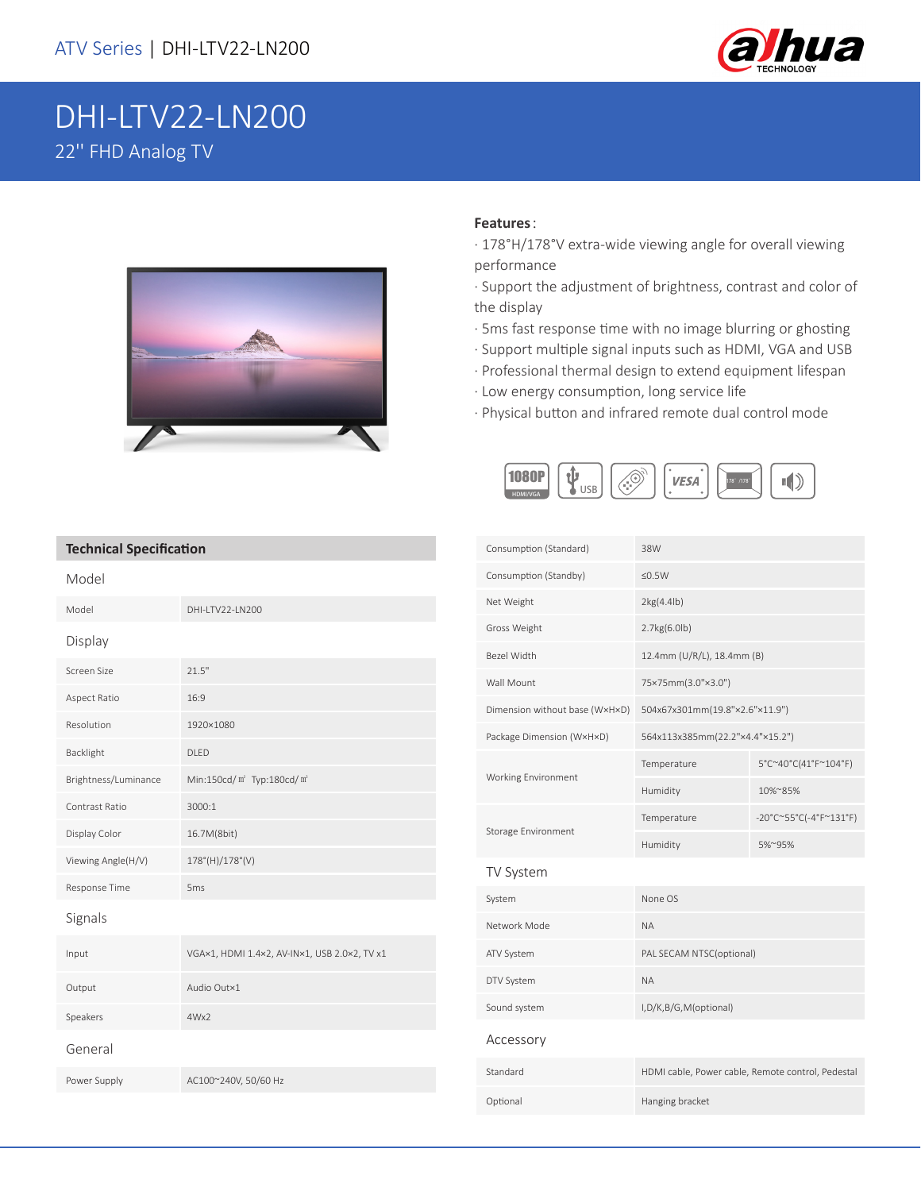

## DHI-LTV22-LN200 22'' FHD Analog TV



## **Features**:

- · 178°H/178°V extra-wide viewing angle for overall viewing performance
- · Support the adjustment of brightness, contrast and color of the display
- · 5ms fast response time with no image blurring or ghosting
- · Support multiple signal inputs such as HDMI, VGA and USB
- · Professional thermal design to extend equipment lifespan
- · Low energy consumption, long service life
- · Physical button and infrared remote dual control mode



## **Technical Specification**

| Model                |                                                   |
|----------------------|---------------------------------------------------|
| Model                | DHI-LTV22-LN200                                   |
| Display              |                                                   |
| Screen Size          | 21.5"                                             |
| Aspect Ratio         | 16:9                                              |
| Resolution           | 1920×1080                                         |
| Backlight            | <b>DLED</b>                                       |
| Brightness/Luminance | Min:150cd/m <sup>2</sup> Typ:180cd/m <sup>2</sup> |
| Contrast Ratio       | 3000:1                                            |
| Display Color        | 16.7M(8bit)                                       |
| Viewing Angle(H/V)   | $178^{\circ}$ (H)/ $178^{\circ}$ (V)              |
| Response Time        | 5 <sub>ms</sub>                                   |
| Signals              |                                                   |
| Input                | VGA×1, HDMI 1.4×2, AV-IN×1, USB 2.0×2, TV x1      |
| Output               | Audio Out×1                                       |
| Speakers             | 4Wx2                                              |
| General              |                                                   |
| Power Supply         | AC100~240V, 50/60 Hz                              |

| Consumption (Standard)         | 38W                                               |                                  |  |
|--------------------------------|---------------------------------------------------|----------------------------------|--|
| Consumption (Standby)          | $≤0.5W$                                           |                                  |  |
| Net Weight                     | 2kg(4.4lb)                                        |                                  |  |
| Gross Weight                   | 2.7kg(6.0lb)                                      |                                  |  |
| Bezel Width                    | 12.4mm (U/R/L), 18.4mm (B)                        |                                  |  |
| Wall Mount                     | 75×75mm(3.0"×3.0")                                |                                  |  |
| Dimension without base (WxHxD) | 504x67x301mm(19.8"×2.6"×11.9")                    |                                  |  |
| Package Dimension (W×H×D)      | 564x113x385mm(22.2"x4.4"x15.2")                   |                                  |  |
|                                | Temperature                                       | 5°C~40°C(41°F~104°F)             |  |
| <b>Working Environment</b>     | Humidity                                          | 10%~85%                          |  |
| Storage Environment            | Temperature                                       | $-20^{\circ}$ C~55°C(-4°F~131°F) |  |
|                                | Humidity                                          | 5%~95%                           |  |
| TV System                      |                                                   |                                  |  |
| System                         | None OS                                           |                                  |  |
| Network Mode                   | <b>NA</b>                                         |                                  |  |
| ATV System                     | PAL SECAM NTSC(optional)                          |                                  |  |
| DTV System                     | <b>NA</b>                                         |                                  |  |
| Sound system                   | I, D/K, B/G, M(optional)                          |                                  |  |
| Accessory                      |                                                   |                                  |  |
| Standard                       | HDMI cable, Power cable, Remote control, Pedestal |                                  |  |
| Optional                       | Hanging bracket                                   |                                  |  |